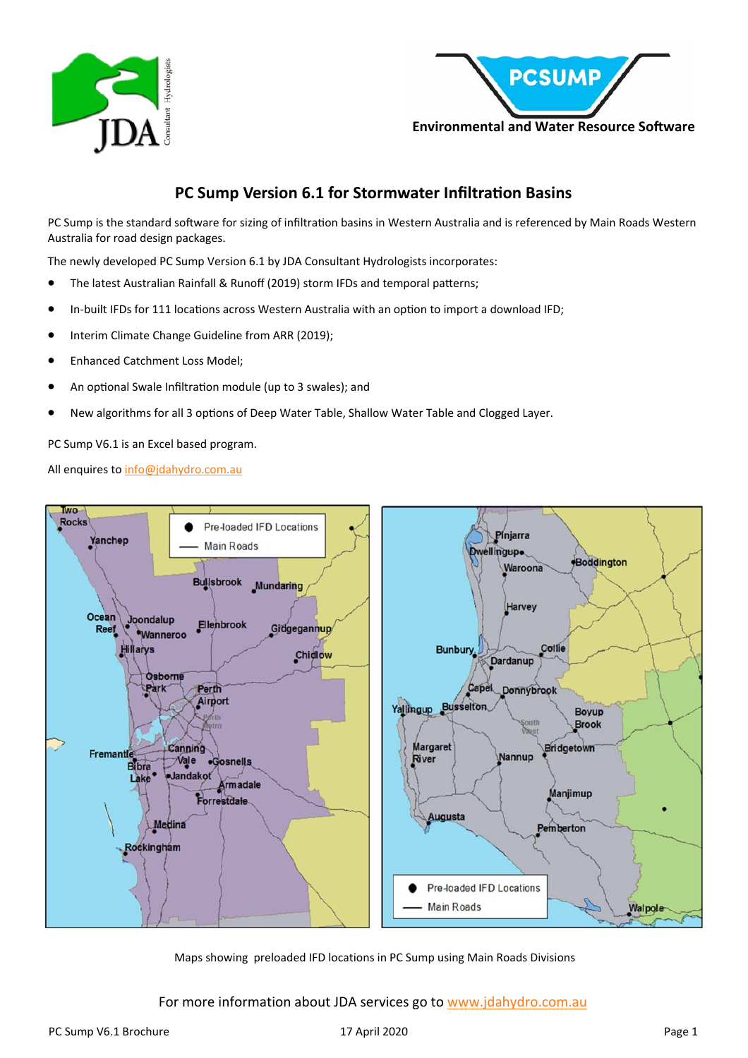



## **PC Sump Version 6.1 for Stormwater Infiltration Basins**

PC Sump is the standard software for sizing of infiltration basins in Western Australia and is referenced by Main Roads Western Australia for road design packages.

The newly developed PC Sump Version 6.1 by JDA Consultant Hydrologists incorporates:

- The latest Australian Rainfall & Runoff (2019) storm IFDs and temporal patterns;
- In-built IFDs for 111 locations across Western Australia with an option to import a download IFD;
- Interim Climate Change Guideline from ARR (2019);
- Enhanced Catchment Loss Model;
- An optional Swale Infiltration module (up to 3 swales); and
- New algorithms for all 3 options of Deep Water Table, Shallow Water Table and Clogged Layer.

PC Sump V6.1 is an Excel based program.

All enquires to info@jdahydro.com.au



Maps showing preloaded IFD locations in PC Sump using Main Roads Divisions

For more information about JDA services go to www.jdahydro.com.au